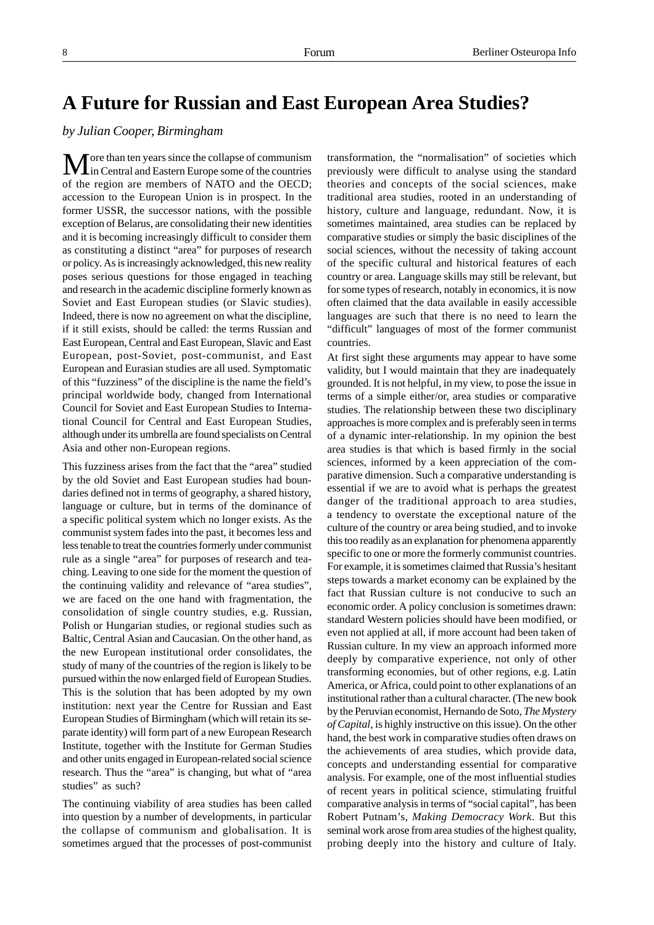## **A Future for Russian and East European Area Studies?**

## *by Julian Cooper, Birmingham*

ore than ten years since the collapse of communism in Central and Eastern Europe some of the countries of the region are members of NATO and the OECD; accession to the European Union is in prospect. In the former USSR, the successor nations, with the possible exception of Belarus, are consolidating their new identities and it is becoming increasingly difficult to consider them as constituting a distinct "area" for purposes of research or policy. As is increasingly acknowledged, this new reality poses serious questions for those engaged in teaching and research in the academic discipline formerly known as Soviet and East European studies (or Slavic studies). Indeed, there is now no agreement on what the discipline, if it still exists, should be called: the terms Russian and East European, Central and East European, Slavic and East European, post-Soviet, post-communist, and East European and Eurasian studies are all used. Symptomatic of this "fuzziness" of the discipline is the name the field's principal worldwide body, changed from International Council for Soviet and East European Studies to International Council for Central and East European Studies, although under its umbrella are found specialists on Central Asia and other non-European regions.

This fuzziness arises from the fact that the "area" studied by the old Soviet and East European studies had boundaries defined not in terms of geography, a shared history, language or culture, but in terms of the dominance of a specific political system which no longer exists. As the communist system fades into the past, it becomes less and less tenable to treat the countries formerly under communist rule as a single "area" for purposes of research and teaching. Leaving to one side for the moment the question of the continuing validity and relevance of "area studies", we are faced on the one hand with fragmentation, the consolidation of single country studies, e.g. Russian, Polish or Hungarian studies, or regional studies such as Baltic, Central Asian and Caucasian. On the other hand, as the new European institutional order consolidates, the study of many of the countries of the region is likely to be pursued within the now enlarged field of European Studies. This is the solution that has been adopted by my own institution: next year the Centre for Russian and East European Studies of Birmingham (which will retain its separate identity) will form part of a new European Research Institute, together with the Institute for German Studies and other units engaged in European-related social science research. Thus the "area" is changing, but what of "area studies" as such?

The continuing viability of area studies has been called into question by a number of developments, in particular the collapse of communism and globalisation. It is sometimes argued that the processes of post-communist transformation, the "normalisation" of societies which previously were difficult to analyse using the standard theories and concepts of the social sciences, make traditional area studies, rooted in an understanding of history, culture and language, redundant. Now, it is sometimes maintained, area studies can be replaced by comparative studies or simply the basic disciplines of the social sciences, without the necessity of taking account of the specific cultural and historical features of each country or area. Language skills may still be relevant, but for some types of research, notably in economics, it is now often claimed that the data available in easily accessible languages are such that there is no need to learn the "difficult" languages of most of the former communist countries.

At first sight these arguments may appear to have some validity, but I would maintain that they are inadequately grounded. It is not helpful, in my view, to pose the issue in terms of a simple either/or, area studies or comparative studies. The relationship between these two disciplinary approaches is more complex and is preferably seen in terms of a dynamic inter-relationship. In my opinion the best area studies is that which is based firmly in the social sciences, informed by a keen appreciation of the comparative dimension. Such a comparative understanding is essential if we are to avoid what is perhaps the greatest danger of the traditional approach to area studies, a tendency to overstate the exceptional nature of the culture of the country or area being studied, and to invoke this too readily as an explanation for phenomena apparently specific to one or more the formerly communist countries. For example, it is sometimes claimed that Russia's hesitant steps towards a market economy can be explained by the fact that Russian culture is not conducive to such an economic order. A policy conclusion is sometimes drawn: standard Western policies should have been modified, or even not applied at all, if more account had been taken of Russian culture. In my view an approach informed more deeply by comparative experience, not only of other transforming economies, but of other regions, e.g. Latin America, or Africa, could point to other explanations of an institutional rather than a cultural character. (The new book by the Peruvian economist, Hernando de Soto, *The Mystery of Capital*, is highly instructive on this issue). On the other hand, the best work in comparative studies often draws on the achievements of area studies, which provide data, concepts and understanding essential for comparative analysis. For example, one of the most influential studies of recent years in political science, stimulating fruitful comparative analysis in terms of "social capital", has been Robert Putnam's, *Making Democracy Work*. But this seminal work arose from area studies of the highest quality, probing deeply into the history and culture of Italy.